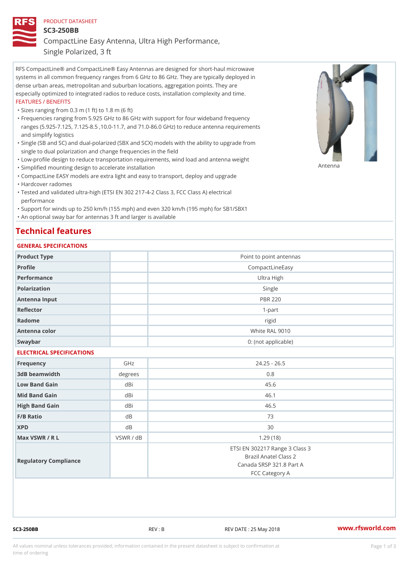## PRODUCT DATASHEET

SC3-250BB

CompactLine Easy Antenna, Ultra High Performance,

Single Polarized, 3 ft

RFS CompactLine® and CompactLine® Easy Antennas are designed for short-haul microwave systems in all common frequency ranges from 6 GHz to 86 GHz. They are typically deployed in dense urban areas, metropolitan and suburban locations, aggregation points. They are especially optimized to integrated radios to reduce costs, installation complexity and time. FEATURES / BENEFITS

"Sizes ranging from 0.3 m (1 ft) to 1.8 m (6 ft)

- Frequencies ranging from 5.925 GHz to 86 GHz with support for four wideband frequency " ranges (5.925-7.125, 7.125-8.5 ,10.0-11.7, and 71.0-86.0 GHz) to reduce antenna requirements and simplify logistics
- Single (SB and SC) and dual-polarized (SBX and SCX) models with the ability to upgrade from " single to dual polarization and change frequencies in the field
- "Low-profile design to reduce transportation requirements, wind load and antenna weight
- "Simplified mounting design to accelerate installation

 "CompactLine EASY models are extra light and easy to transport, deploy and upgrade "Hardcover radomes

Tested and validated ultra-high (ETSI EN 302 217-4-2 Class 3, FCC Class A) electrical " performance

 "Support for winds up to 250 km/h (155 mph) and even 320 km/h (195 mph) for SB1/SBX1 "An optional sway bar for antennas 3 ft and larger is available

## Technical features

## GENERAL SPECIFICATIONS

| OLIVLINAL OI LOII IOA I IONO |           |                                                                                                       |  |  |
|------------------------------|-----------|-------------------------------------------------------------------------------------------------------|--|--|
| Product Type                 |           | Point to point antennas                                                                               |  |  |
| Profile                      |           | CompactLineEasy                                                                                       |  |  |
| Performance                  |           | Ultra High                                                                                            |  |  |
| Polarization                 |           | Single                                                                                                |  |  |
| Antenna Input                |           | <b>PBR 220</b>                                                                                        |  |  |
| Reflector                    |           | $1 - p$ art                                                                                           |  |  |
| Radome                       |           | rigid                                                                                                 |  |  |
| Antenna color                |           | White RAL 9010                                                                                        |  |  |
| Swaybar                      |           | 0: (not applicable)                                                                                   |  |  |
| ELECTRICAL SPECIFICATIONS    |           |                                                                                                       |  |  |
| Frequency                    | GHz       | $24.25 - 26.5$                                                                                        |  |  |
| 3dB beamwidth                | degrees   | 0.8                                                                                                   |  |  |
| Low Band Gain                | dBi       | 45.6                                                                                                  |  |  |
| Mid Band Gain                | dBi       | 46.1                                                                                                  |  |  |
| High Band Gain               | dBi       | 46.5                                                                                                  |  |  |
| F/B Ratio                    | $d$ B     | 73                                                                                                    |  |  |
| <b>XPD</b>                   | d B       | 30                                                                                                    |  |  |
| Max VSWR / R L               | VSWR / dB | 1.29(18)                                                                                              |  |  |
| Regulatory Compliance        |           | ETSI EN 302217 Range 3 Class 3<br>Brazil Anatel Class 2<br>Canada SRSP 321.8 Part A<br>FCC Category A |  |  |

SC3-250BB REV : B REV DATE : 25 May 2018 [www.](https://www.rfsworld.com)rfsworld.com

Antenna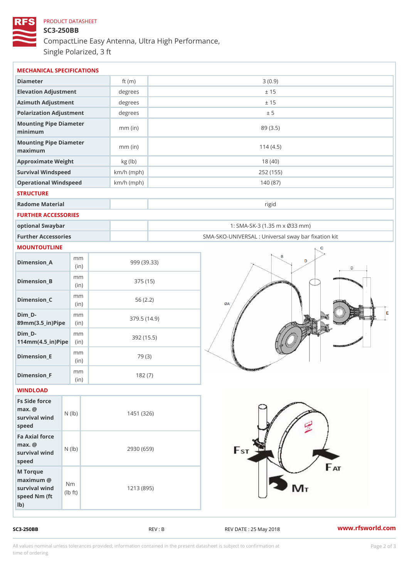## PRODUCT DATASHEET SC3-250BB CompactLine Easy Antenna, Ultra High Performance, Single Polarized, 3 ft

| MECHANICAL SPECIFICATIONS                                                                           |              |                                                   |
|-----------------------------------------------------------------------------------------------------|--------------|---------------------------------------------------|
| Diameter                                                                                            | ft $(m)$     | 3(0.9)                                            |
| Elevation Adjustment                                                                                | degrees      | ± 15                                              |
| Azimuth Adjustment                                                                                  | degrees      | ± 15                                              |
| Polarization Adjustment                                                                             | degrees      | ± 5                                               |
| Mounting Pipe Diameter<br>minimum                                                                   | $mm$ (in)    | 89(3.5)                                           |
| Mounting Pipe Diameter<br>maximum                                                                   | $mm$ (in)    | 114(4.5)                                          |
| Approximate Weight                                                                                  | kg (lb)      | 18(40)                                            |
| Survival Windspeed                                                                                  | $km/h$ (mph) | 252 (155)                                         |
| Operational Windspeed                                                                               | $km/h$ (mph) | 140 (87)                                          |
| <b>STRUCTURE</b>                                                                                    |              |                                                   |
| Radome Material                                                                                     |              | rigid                                             |
| FURTHER ACCESSORIES                                                                                 |              |                                                   |
| optional Swaybar                                                                                    |              | 1: SMA-SK-3 (1.35 m x Ø33 mm)                     |
| Further Accessories                                                                                 |              | SMA-SKO-UNIVERSAL : Universal sway bar fixation l |
| MOUNTOUTLINE                                                                                        |              |                                                   |
| m m<br>$Dimension_A$<br>(in)                                                                        |              | 999 (39.33)                                       |
| m m<br>$Dimen sion_B$<br>(in)                                                                       |              | 375 (15)                                          |
| m m<br>$Dimension_C$<br>(in)                                                                        |              | 56(2.2)                                           |
| $Dim_D - D -$<br>m m<br>89mm (3.5_in) Pi(pine                                                       |              | 379.5(14.9)                                       |
| $Dim_D - D -$<br>m m<br>$114$ m m $(4.5$ ir $)$ $\sqrt{$ ii $\sqrt{p}}$ $\ge$                       |              | 392 (15.5)                                        |
| m m<br>$Dimension$ _E<br>(in)                                                                       |              | 79 (3)                                            |
| m m<br>$Dimen sion_F$<br>(in)                                                                       |              | 182(7)                                            |
| WINDLOAD                                                                                            |              |                                                   |
| Fs Side force<br>$max.$ @<br>survival $w \nmid N$ ( $ b$ )<br>speed                                 | 1451 (326)   |                                                   |
| Fa Axial force<br>$max.$ @<br>survival $wined$ ( $\vert b)$ )<br>speed                              | 2930 (659)   |                                                   |
| M Torque<br>$maximum$ @<br>N m<br>survival wind<br>l b<br>$\uparrow$ t )<br>speed Nm (ft)<br>$1b$ ) | 1213 (895)   |                                                   |

SC3-250BB REV : B REV : REV DATE : 25 May 2018 WWW.rfsworld.com